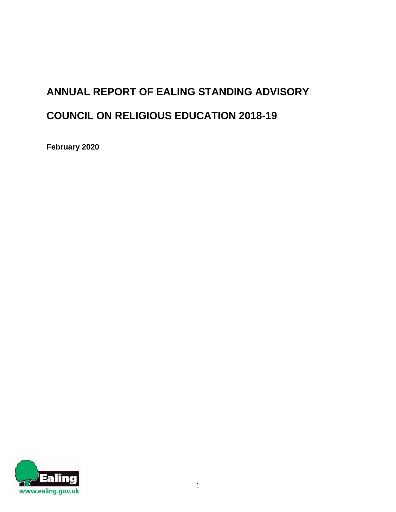# **ANNUAL REPORT OF EALING STANDING ADVISORY COUNCIL ON RELIGIOUS EDUCATION 2018-19**

**February 2020**

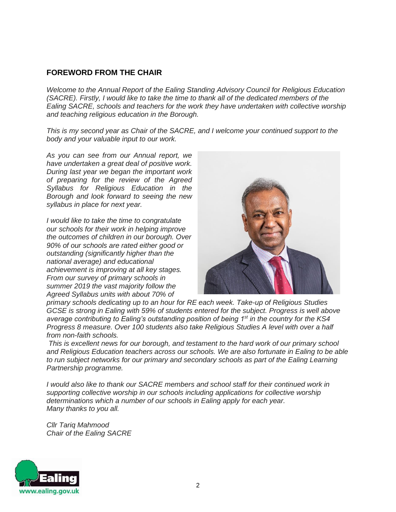#### **FOREWORD FROM THE CHAIR**

*Welcome to the Annual Report of the Ealing Standing Advisory Council for Religious Education (SACRE). Firstly, I would like to take the time to thank all of the dedicated members of the Ealing SACRE, schools and teachers for the work they have undertaken with collective worship and teaching religious education in the Borough.*

*This is my second year as Chair of the SACRE, and I welcome your continued support to the body and your valuable input to our work.*

*As you can see from our Annual report, we have undertaken a great deal of positive work. During last year we began the important work of preparing for the review of the Agreed Syllabus for Religious Education in the Borough and look forward to seeing the new syllabus in place for next year.*

*I would like to take the time to congratulate our schools for their work in helping improve the outcomes of children in our borough. Over 90% of our schools are rated either good or outstanding (significantly higher than the national average) and educational achievement is improving at all key stages. From our survey of primary schools in summer 2019 the vast majority follow the Agreed Syllabus units with about 70% of*



*primary schools dedicating up to an hour for RE each week. Take-up of Religious Studies GCSE is strong in Ealing with 59% of students entered for the subject. Progress is well above average contributing to Ealing's outstanding position of being 1st in the country for the KS4 Progress 8 measure. Over 100 students also take Religious Studies A level with over a half from non-faith schools.*

*This is excellent news for our borough, and testament to the hard work of our primary school and Religious Education teachers across our schools. We are also fortunate in Ealing to be able to run subject networks for our primary and secondary schools as part of the Ealing Learning Partnership programme.*

*I* would also like to thank our SACRE members and school staff for their continued work in *supporting collective worship in our schools including applications for collective worship determinations which a number of our schools in Ealing apply for each year. Many thanks to you all.*

*Cllr Tariq Mahmood Chair of the Ealing SACRE*

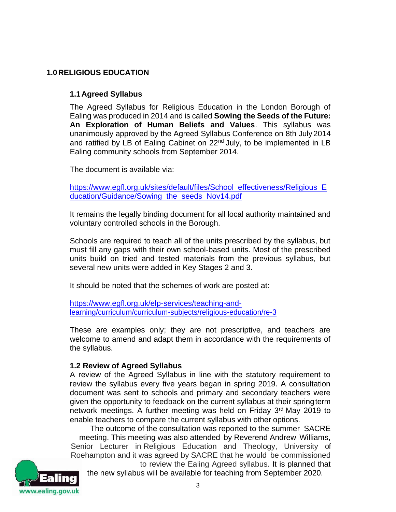# **1.0RELIGIOUS EDUCATION**

#### **1.1Agreed Syllabus**

The Agreed Syllabus for Religious Education in the London Borough of Ealing was produced in 2014 and is called **Sowing the Seeds of the Future: An Exploration of Human Beliefs and Values**. This syllabus was unanimously approved by the Agreed Syllabus Conference on 8th July2014 and ratified by LB of Ealing Cabinet on 22<sup>nd</sup> July, to be implemented in LB Ealing community schools from September 2014.

The document is available via:

[https://www.egfl.org.uk/sites/default/files/School\\_effectiveness/Religious\\_E](https://www.egfl.org.uk/sites/default/files/School_effectiveness/Religious_Education/Guidance/Sowing_the_seeds_Nov14.pdf) [ducation/Guidance/Sowing\\_the\\_seeds\\_Nov14.pdf](https://www.egfl.org.uk/sites/default/files/School_effectiveness/Religious_Education/Guidance/Sowing_the_seeds_Nov14.pdf)

It remains the legally binding document for all local authority maintained and voluntary controlled schools in the Borough.

Schools are required to teach all of the units prescribed by the syllabus, but must fill any gaps with their own school-based units. Most of the prescribed units build on tried and tested materials from the previous syllabus, but several new units were added in Key Stages 2 and 3.

It should be noted that the schemes of work are posted at:

[https://www.egfl.org.uk/elp-services/teaching-and](https://www.egfl.org.uk/elp-services/teaching-and-learning/curriculum/curriculum-subjects/religious-education/re-3)[learning/curriculum/curriculum-subjects/religious-education/re-3](https://www.egfl.org.uk/elp-services/teaching-and-learning/curriculum/curriculum-subjects/religious-education/re-3)

These are examples only; they are not prescriptive, and teachers are welcome to amend and adapt them in accordance with the requirements of the syllabus.

#### **1.2 Review of Agreed Syllabus**

A review of the Agreed Syllabus in line with the statutory requirement to review the syllabus every five years began in spring 2019. A consultation document was sent to schools and primary and secondary teachers were given the opportunity to feedback on the current syllabus at their springterm network meetings. A further meeting was held on Friday 3rd May 2019 to enable teachers to compare the current syllabus with other options.

The outcome of the consultation was reported to the summer SACRE meeting. This meeting was also attended by Reverend Andrew Williams, Senior Lecturer in Religious Education and Theology, University of Roehampton and it was agreed by SACRE that he would be commissioned



to review the Ealing Agreed syllabus. It is planned that the new syllabus will be available for teaching from September 2020.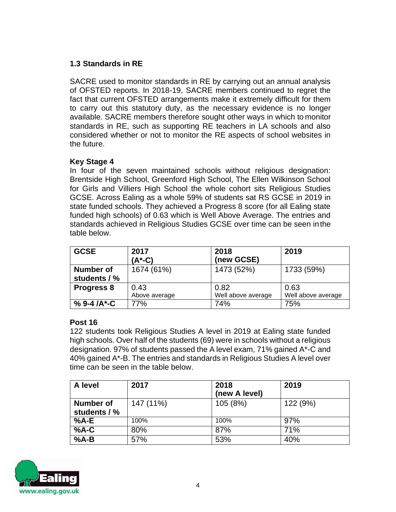# **1.3 Standards in RE**

SACRE used to monitor standards in RE by carrying out an annual analysis of OFSTED reports. In 2018-19, SACRE members continued to regret the fact that current OFSTED arrangements make it extremely difficult for them to carry out this statutory duty, as the necessary evidence is no longer available. SACRE members therefore sought other ways in which to monitor standards in RE, such as supporting RE teachers in LA schools and also considered whether or not to monitor the RE aspects of school websites in the future.

#### **Key Stage 4**

In four of the seven maintained schools without religious designation: Brentside High School, Greenford High School, The Ellen Wilkinson School for Girls and Villiers High School the whole cohort sits Religious Studies GCSE. Across Ealing as a whole 59% of students sat RS GCSE in 2019 in state funded schools. They achieved a Progress 8 score (for all Ealing state funded high schools) of 0.63 which is Well Above Average. The entries and standards achieved in Religious Studies GCSE over time can be seen inthe table below.

| <b>GCSE</b>                      | 2017<br>(A*-C)        | 2018<br>(new GCSE)         | 2019                       |  |  |
|----------------------------------|-----------------------|----------------------------|----------------------------|--|--|
| <b>Number of</b><br>students / % | 1674 (61%)            | 1473 (52%)                 | 1733 (59%)                 |  |  |
| <b>Progress 8</b>                | 0.43<br>Above average | 0.82<br>Well above average | 0.63<br>Well above average |  |  |
| % 9-4 /A*-C                      | 77%                   | 74%                        | 75%                        |  |  |

#### **Post 16**

122 students took Religious Studies A level in 2019 at Ealing state funded high schools. Over half of the students (69) were in schools without a religious designation. 97% of students passed the A level exam, 71% gained A\*-C and 40% gained A\*-B. The entries and standards in Religious Studies A level over time can be seen in the table below.

| A level      | 2017      | 2018<br>(new A level) | 2019     |
|--------------|-----------|-----------------------|----------|
| Number of    | 147 (11%) | 105 (8%)              | 122 (9%) |
| students / % |           |                       |          |
| $%A-E$       | 100%      | 100%                  | 97%      |
| $%A-C$       | 80%       | 87%                   | 71%      |
| $%A-B$       | 57%       | 53%                   | 40%      |

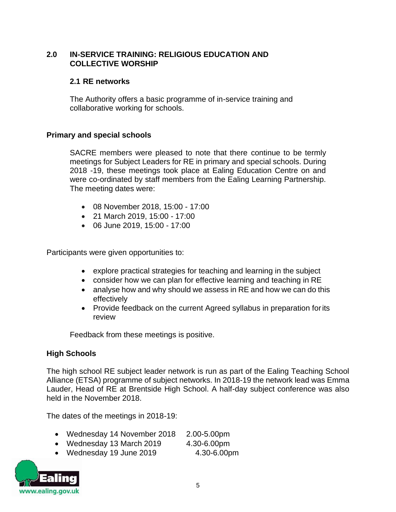#### **2.0 IN-SERVICE TRAINING: RELIGIOUS EDUCATION AND COLLECTIVE WORSHIP**

#### **2.1 RE networks**

The Authority offers a basic programme of in-service training and collaborative working for schools.

#### **Primary and special schools**

SACRE members were pleased to note that there continue to be termly meetings for Subject Leaders for RE in primary and special schools. During 2018 -19, these meetings took place at Ealing Education Centre on and were co-ordinated by staff members from the Ealing Learning Partnership. The meeting dates were:

- 08 November 2018, 15:00 17:00
- 21 March 2019, 15:00 17:00
- 06 June 2019, 15:00 17:00

Participants were given opportunities to:

- explore practical strategies for teaching and learning in the subject
- consider how we can plan for effective learning and teaching in RE
- analyse how and why should we assess in RE and how we can do this effectively
- Provide feedback on the current Agreed syllabus in preparation for its review

Feedback from these meetings is positive.

#### **High Schools**

The high school RE subject leader network is run as part of the Ealing Teaching School Alliance (ETSA) programme of subject networks. In 2018-19 the network lead was Emma Lauder, Head of RE at Brentside High School. A half-day subject conference was also held in the November 2018.

The dates of the meetings in 2018-19:

- Wednesday 14 November 2018 2.00-5.00pm
- Wednesday 13 March 2019 4.30-6.00pm
- Wednesday 19 June 2019 4.30-6.00pm

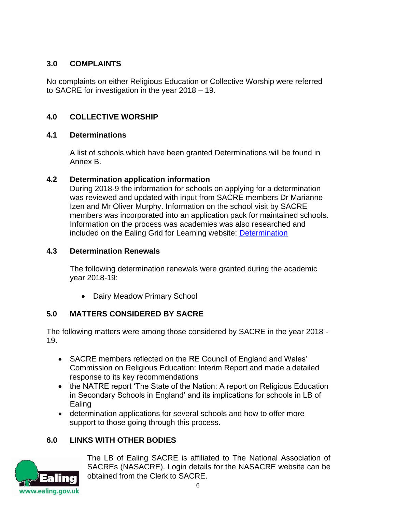# **3.0 COMPLAINTS**

No complaints on either Religious Education or Collective Worship were referred to SACRE for investigation in the year 2018 – 19.

# **4.0 COLLECTIVE WORSHIP**

#### **4.1 Determinations**

A list of schools which have been granted Determinations will be found in Annex B.

#### **4.2 Determination application information**

During 2018-9 the information for schools on applying for a determination was reviewed and updated with input from SACRE members Dr Marianne Izen and Mr Oliver Murphy. Information on the school visit by SACRE members was incorporated into an application pack for maintained schools. Information on the process was academies was also researched and included on the Ealing Grid for Learning website: [Determination](https://eur02.safelinks.protection.outlook.com/?url=https%3A%2F%2Fwww.egfl.org.uk%2Fschool-effectiveness%2Fcurriculum%2Fcurriculum-subjects%2Freligious-education%2Freflection%2Fdeterminations&data=02%7C01%7C%7Cfe8747460b3a4aa71d4208d567ca9196%7C84df9e7fe9f640afb435aaaaaaaaaaaa%7C1%7C0%7C636529042075386978&sdata=ZCYH%2FpySvz1vu5NZODu%2FvrYsHGBOpXdE3PgkF%2FkUlLA%3D&reserved=0)

#### **4.3 Determination Renewals**

The following determination renewals were granted during the academic year 2018-19:

• Dairy Meadow Primary School

# **5.0 MATTERS CONSIDERED BY SACRE**

The following matters were among those considered by SACRE in the year 2018 - 19.

- SACRE members reflected on the RE Council of England and Wales' Commission on Religious Education: Interim Report and made a detailed response to its key recommendations
- the NATRE report 'The State of the Nation: A report on Religious Education in Secondary Schools in England' and its implications for schools in LB of Ealing
- determination applications for several schools and how to offer more support to those going through this process.

# **6.0 LINKS WITH OTHER BODIES**



The LB of Ealing SACRE is affiliated to The National Association of SACREs (NASACRE). Login details for the NASACRE website can be obtained from the Clerk to SACRE.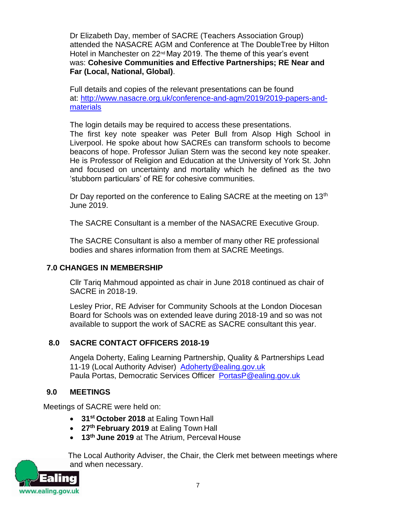Dr Elizabeth Day, member of SACRE (Teachers Association Group) attended the NASACRE AGM and Conference at The DoubleTree by Hilton Hotel in Manchester on 22<sup>nd</sup> May 2019. The theme of this year's event was: **Cohesive Communities and Effective Partnerships; RE Near and Far (Local, National, Global)**.

Full details and copies of the relevant presentations can be found at: [http://www.nasacre.org.uk/conference-and-agm/2019/2019-papers-and](https://protect-eu.mimecast.com/s/fCaPC76NYSZxmODt85EFI?domain=nasacre.org.uk)[materials](https://protect-eu.mimecast.com/s/fCaPC76NYSZxmODt85EFI?domain=nasacre.org.uk)

The login details may be required to access these presentations.

The first key note speaker was Peter Bull from Alsop High School in Liverpool. He spoke about how SACREs can transform schools to become beacons of hope. Professor Julian Stern was the second key note speaker. He is Professor of Religion and Education at the University of York St. John and focused on uncertainty and mortality which he defined as the two 'stubborn particulars' of RE for cohesive communities.

Dr Day reported on the conference to Ealing SACRE at the meeting on  $13<sup>th</sup>$ June 2019.

The SACRE Consultant is a member of the NASACRE Executive Group.

The SACRE Consultant is also a member of many other RE professional bodies and shares information from them at SACRE Meetings.

#### **7.0 CHANGES IN MEMBERSHIP**

Cllr Tariq Mahmoud appointed as chair in June 2018 continued as chair of SACRE in 2018-19.

Lesley Prior, RE Adviser for Community Schools at the London Diocesan Board for Schools was on extended leave during 2018-19 and so was not available to support the work of SACRE as SACRE consultant this year.

#### **8.0 SACRE CONTACT OFFICERS 2018-19**

Angela Doherty, Ealing Learning Partnership, Quality & Partnerships Lead 11-19 (Local Authority Adviser) [Adoherty@ealing.gov.uk](mailto:Adoherty@ealing.gov.uk) Paula Portas, Democratic Services Officer [PortasP@ealing.gov.uk](mailto:PortasP@ealing.gov.uk)

#### **9.0 MEETINGS**

Meetings of SACRE were held on:

- **31st October 2018** at Ealing Town Hall
- **27th February 2019** at Ealing Town Hall
- **13th June 2019** at The Atrium, Perceval House

The Local Authority Adviser, the Chair, the Clerk met between meetings where and when necessary.

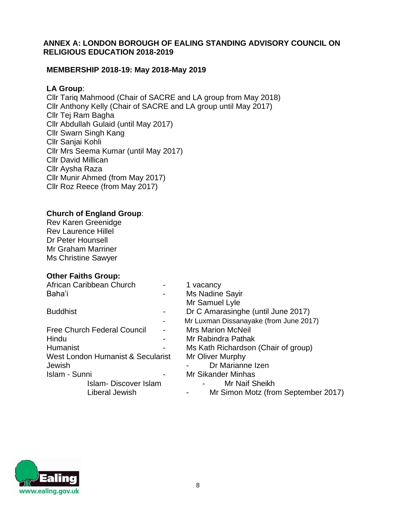#### **ANNEX A: LONDON BOROUGH OF EALING STANDING ADVISORY COUNCIL ON RELIGIOUS EDUCATION 2018-2019**

#### **MEMBERSHIP 2018-19: May 2018-May 2019**

#### **LA Group**:

Cllr Tariq Mahmood (Chair of SACRE and LA group from May 2018) Cllr Anthony Kelly (Chair of SACRE and LA group until May 2017) Cllr Tej Ram Bagha Cllr Abdullah Gulaid (until May 2017) Cllr Swarn Singh Kang Cllr Sanjai Kohli Cllr Mrs Seema Kumar (until May 2017) Cllr David Millican Cllr Aysha Raza Cllr Munir Ahmed (from May 2017) Cllr Roz Reece (from May 2017)

#### **Church of England Group**:

Rev Karen Greenidge Rev Laurence Hillel Dr Peter Hounsell Mr Graham Marriner Ms Christine Sawyer

#### **Other Faiths Group:**

| African Caribbean Church           | 1 vacancy                              |
|------------------------------------|----------------------------------------|
| Baha'i                             | Ms Nadine Sayir                        |
|                                    | Mr Samuel Lyle                         |
| <b>Buddhist</b>                    | Dr C Amarasinghe (until June 2017)     |
|                                    | Mr Luxman Dissanayake (from June 2017) |
| <b>Free Church Federal Council</b> | <b>Mrs Marion McNeil</b>               |
| Hindu                              | Mr Rabindra Pathak                     |
| Humanist                           | Ms Kath Richardson (Chair of group)    |
| West London Humanist & Secularist  | Mr Oliver Murphy                       |
| Jewish                             | Dr Marianne Izen                       |
| Islam - Sunni                      | <b>Mr Sikander Minhas</b>              |
| Islam-Discover Islam               | Mr Naif Sheikh                         |
| Liberal Jewish                     | Mr Simon Motz (from September 2017)    |

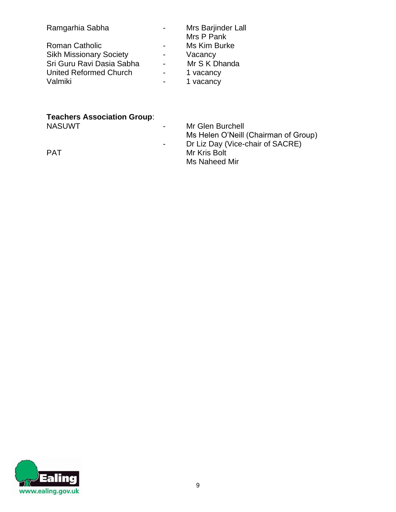| Ramgarhia Sabha                |                | Mrs Barjinder Lall<br>Mrs P Pank |
|--------------------------------|----------------|----------------------------------|
| <b>Roman Catholic</b>          | $\blacksquare$ | Ms Kim Burke                     |
| <b>Sikh Missionary Society</b> | $\blacksquare$ | Vacancy                          |
| Sri Guru Ravi Dasia Sabha      |                | Mr S K Dhanda                    |
| United Reformed Church         | -              | 1 vacancy                        |
| Valmiki                        |                | 1 vacancy                        |

# **Teachers Association Group**:

- Mr Glen Burchell Ms Helen O'Neill (Chairman of Group) - Dr Liz Day (Vice-chair of SACRE) PAT Mr Kris Bolt Ms Naheed Mir

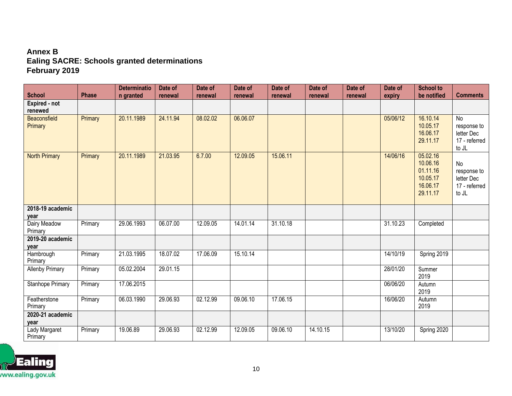# **Annex B Ealing SACRE: Schools granted determinations February 2019**

| <b>School</b>            | <b>Phase</b> | <b>Determinatio</b><br>n granted | Date of<br>renewal | Date of<br>renewal | Date of<br>renewal | Date of<br>renewal | Date of<br>renewal | Date of<br>renewal | Date of<br>expiry | <b>School to</b><br>be notified                                      | <b>Comments</b>                                                       |
|--------------------------|--------------|----------------------------------|--------------------|--------------------|--------------------|--------------------|--------------------|--------------------|-------------------|----------------------------------------------------------------------|-----------------------------------------------------------------------|
| Expired - not<br>renewed |              |                                  |                    |                    |                    |                    |                    |                    |                   |                                                                      |                                                                       |
| Beaconsfield<br>Primary  | Primary      | 20.11.1989                       | 24.11.94           | 08.02.02           | 06.06.07           |                    |                    |                    | 05/06/12          | 16.10.14<br>10.05.17<br>16.06.17<br>29.11.17                         | $\overline{N}$<br>response to<br>letter Dec<br>17 - referred<br>to JL |
| <b>North Primary</b>     | Primary      | 20.11.1989                       | 21.03.95           | 6.7.00             | 12.09.05           | 15.06.11           |                    |                    | 14/06/16          | 05.02.16<br>10.06.16<br>01.11.16<br>10.05.17<br>16.06.17<br>29.11.17 | No<br>response to<br>letter Dec<br>17 - referred<br>to JL             |
| 2018-19 academic<br>year |              |                                  |                    |                    |                    |                    |                    |                    |                   |                                                                      |                                                                       |
| Dairy Meadow<br>Primary  | Primary      | 29.06.1993                       | 06.07.00           | 12.09.05           | 14.01.14           | 31.10.18           |                    |                    | 31.10.23          | Completed                                                            |                                                                       |
| 2019-20 academic<br>year |              |                                  |                    |                    |                    |                    |                    |                    |                   |                                                                      |                                                                       |
| Hambrough<br>Primary     | Primary      | 21.03.1995                       | 18.07.02           | 17.06.09           | 15.10.14           |                    |                    |                    | 14/10/19          | Spring 2019                                                          |                                                                       |
| <b>Allenby Primary</b>   | Primary      | 05.02.2004                       | 29.01.15           |                    |                    |                    |                    |                    | 28/01/20          | Summer<br>2019                                                       |                                                                       |
| <b>Stanhope Primary</b>  | Primary      | 17.06.2015                       |                    |                    |                    |                    |                    |                    | 06/06/20          | Autumn<br>2019                                                       |                                                                       |
| Featherstone<br>Primary  | Primary      | 06.03.1990                       | 29.06.93           | 02.12.99           | 09.06.10           | 17.06.15           |                    |                    | 16/06/20          | Autumn<br>2019                                                       |                                                                       |
| 2020-21 academic<br>year |              |                                  |                    |                    |                    |                    |                    |                    |                   |                                                                      |                                                                       |
| Lady Margaret<br>Primary | Primary      | 19.06.89                         | 29.06.93           | 02.12.99           | 12.09.05           | 09.06.10           | 14.10.15           |                    | 13/10/20          | Spring 2020                                                          |                                                                       |